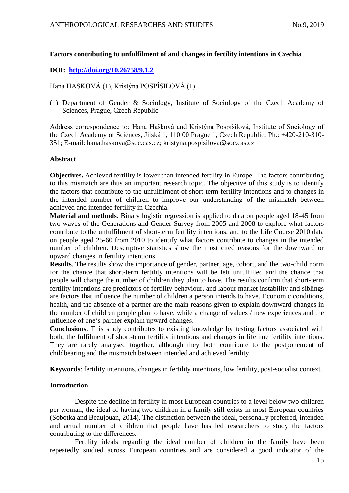# **Factors contributing to unfulfilment of and changes in fertility intentions in Czechia**

# **DOI: <http://doi.org/10.26758/9.1.2>**

Hana HAŠKOVÁ (1), Kristýna POSPÍŠILOVÁ (1)

(1) Department of Gender & Sociology, Institute of Sociology of the Czech Academy of Sciences, Prague, Czech Republic

Address correspondence to: Hana Hašková and Kristýna Pospíšilová, Institute of Sociology of the Czech Academy of Sciences, Jilská 1, 110 00 Prague 1, Czech Republic; Ph.: +420-210-310- 351; E-mail: [hana.haskova@soc.cas.cz;](mailto:hana.haskova@soc.cas.cz) [kristyna.pospisilova@soc.cas.cz](mailto:kristyna.pospisilova@soc.cas.cz)

## **Abstract**

**Objectives.** Achieved fertility is lower than intended fertility in Europe. The factors contributing to this mismatch are thus an important research topic. The objective of this study is to identify the factors that contribute to the unfulfilment of short-term fertility intentions and to changes in the intended number of children to improve our understanding of the mismatch between achieved and intended fertility in Czechia.

**Material and methods.** Binary logistic regression is applied to data on people aged 18-45 from two waves of the Generations and Gender Survey from 2005 and 2008 to explore what factors contribute to the unfulfilment of short-term fertility intentions, and to the Life Course 2010 data on people aged 25-60 from 2010 to identify what factors contribute to changes in the intended number of children. Descriptive statistics show the most cited reasons for the downward or upward changes in fertility intentions.

**Results**. The results show the importance of gender, partner, age, cohort, and the two-child norm for the chance that short-term fertility intentions will be left unfulfilled and the chance that people will change the number of children they plan to have. The results confirm that short-term fertility intentions are predictors of fertility behaviour, and labour market instability and siblings are factors that influence the number of children a person intends to have. Economic conditions, health, and the absence of a partner are the main reasons given to explain downward changes in the number of children people plan to have, while a change of values / new experiences and the influence of one's partner explain upward changes.

**Conclusions.** This study contributes to existing knowledge by testing factors associated with both, the fulfilment of short-term fertility intentions and changes in lifetime fertility intentions. They are rarely analysed together, although they both contribute to the postponement of childbearing and the mismatch between intended and achieved fertility.

**Keywords**: fertility intentions, changes in fertility intentions, low fertility, post-socialist context.

## **Introduction**

Despite the decline in fertility in most European countries to a level below two children per woman, the ideal of having two children in a family still exists in most European countries (Sobotka and Beaujouan, 2014). The distinction between the ideal, personally preferred, intended and actual number of children that people have has led researchers to study the factors contributing to the differences.

Fertility ideals regarding the ideal number of children in the family have been repeatedly studied across European countries and are considered a good indicator of the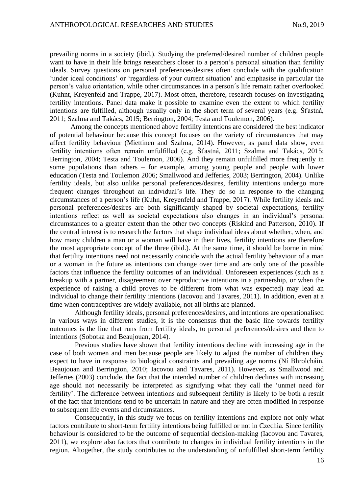prevailing norms in a society (ibid.). Studying the preferred/desired number of children people want to have in their life brings researchers closer to a person's personal situation than fertility ideals. Survey questions on personal preferences/desires often conclude with the qualification 'under ideal conditions' or 'regardless of your current situation' and emphasise in particular the person's value orientation, while other circumstances in a person´s life remain rather overlooked (Kuhnt, Kreyenfeld and Trappe, 2017). Most often, therefore, research focuses on investigating fertility intentions. Panel data make it possible to examine even the extent to which fertility intentions are fulfilled, although usually only in the short term of several years (e.g. Šťastná, 2011; Szalma and Takács, 2015; Berrington, 2004; Testa and Toulemon, 2006).

Among the concepts mentioned above fertility intentions are considered the best indicator of potential behaviour because this concept focuses on the variety of circumstances that may affect fertility behaviour (Miettinen and Szalma, 2014). However, as panel data show, even fertility intentions often remain unfulfilled (e.g. Šťastná, 2011; Szalma and Takács, 2015; Berrington, 2004; Testa and Toulemon, 2006). And they remain unfulfilled more frequently in some populations than others – for example, among young people and people with lower education (Testa and Toulemon 2006; Smallwood and Jefferies, 2003; Berrington, 2004). Unlike fertility ideals, but also unlike personal preferences/desires, fertility intentions undergo more frequent changes throughout an individual's life. They do so in response to the changing circumstances of a person's life (Kuhn, Kreyenfeld and Trappe, 2017). While fertility ideals and personal preferences/desires are both significantly shaped by societal expectations, fertility intentions reflect as well as societal expectations also changes in an individual's personal circumstances to a greater extent than the other two concepts (Riskind and Patterson, 2010). If the central interest is to research the factors that shape individual ideas about whether, when, and how many children a man or a woman will have in their lives, fertility intentions are therefore the most appropriate concept of the three (ibid.). At the same time, it should be borne in mind that fertility intentions need not necessarily coincide with the actual fertility behaviour of a man or a woman in the future as intentions can change over time and are only one of the possible factors that influence the fertility outcomes of an individual. Unforeseen experiences (such as a breakup with a partner, disagreement over reproductive intentions in a partnership, or when the experience of raising a child proves to be different from what was expected) may lead an individual to change their fertility intentions (Iacovou and Tavares, 2011). In addition, even at a time when contraceptives are widely available, not all births are planned.

Although fertility ideals, personal preferences/desires, and intentions are operationalised in various ways in different studies, it is the consensus that the basic line towards fertility outcomes is the line that runs from fertility ideals, to personal preferences/desires and then to intentions (Sobotka and Beaujouan, 2014).

Previous studies have shown that fertility intentions decline with increasing age in the case of both women and men because people are likely to adjust the number of children they expect to have in response to biological constraints and prevailing age norms (Ní Bhrolcháin, Beaujouan and Berrington, 2010; Iacovou and Tavares, 2011). However, as Smallwood and Jefferies (2003) conclude, the fact that the intended number of children declines with increasing age should not necessarily be interpreted as signifying what they call the 'unmet need for fertility'. The difference between intentions and subsequent fertility is likely to be both a result of the fact that intentions tend to be uncertain in nature and they are often modified in response to subsequent life events and circumstances.

Consequently, in this study we focus on fertility intentions and explore not only what factors contribute to short-term fertility intentions being fulfilled or not in Czechia. Since fertility behaviour is considered to be the outcome of sequential decision-making (Iacovou and Tavares, 2011), we explore also factors that contribute to changes in individual fertility intentions in the region. Altogether, the study contributes to the understanding of unfulfilled short-term fertility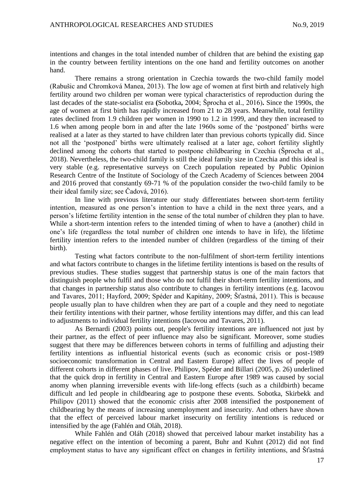intentions and changes in the total intended number of children that are behind the existing gap in the country between fertility intentions on the one hand and fertility outcomes on another hand.

There remains a strong orientation in Czechia towards the two-child family model (Rabušic and Chromková Manea, 2013). The low age of women at first birth and relatively high fertility around two children per woman were typical characteristics of reproduction during the last decades of the state-socialist era **(**Sobotka**,** 2004; Šprocha et al., 2016)**.** Since the 1990s, the age of women at first birth has rapidly increased from 21 to 28 years. Meanwhile, total fertility rates declined from 1.9 children per women in 1990 to 1.2 in 1999, and they then increased to 1.6 when among people born in and after the late 1960s some of the 'postponed' births were realised at a later as they started to have children later than previous cohorts typically did. Since not all the 'postponed' births were ultimately realised at a later age, cohort fertility slightly declined among the cohorts that started to postpone childbearing in Czechia (Šprocha et al., 2018). Nevertheless, the two-child family is still the ideal family size in Czechia and this ideal is very stable (e.g. representative surveys on Czech population repeated by Public Opinion Research Centre of the Institute of Sociology of the Czech Academy of Sciences between 2004 and 2016 proved that constantly 69-71 % of the population consider the two-child family to be their ideal family size; see Čadová, 2016).

In line with previous literature our study differentiates between short-term fertility intention, measured as one person's intention to have a child in the next three years, and a person's lifetime fertility intention in the sense of the total number of children they plan to have. While a short-term intention refers to the intended timing of when to have a (another) child in one's life (regardless the total number of children one intends to have in life), the lifetime fertility intention refers to the intended number of children (regardless of the timing of their birth).

Testing what factors contribute to the non-fulfilment of short-term fertility intentions and what factors contribute to changes in the lifetime fertility intentions is based on the results of previous studies. These studies suggest that partnership status is one of the main factors that distinguish people who fulfil and those who do not fulfil their short-term fertility intentions, and that changes in partnership status also contribute to changes in fertility intentions (e.g. Iacovou and Tavares, 2011; Hayford, 2009; Spéder and Kapitány, 2009; Šťastná, 2011). This is because people usually plan to have children when they are part of a couple and they need to negotiate their fertility intentions with their partner, whose fertility intentions may differ, and this can lead to adjustments to individual fertility intentions (Iacovou and Tavares, 2011).

As Bernardi (2003) points out, people's fertility intentions are influenced not just by their partner, as the effect of peer influence may also be significant. Moreover, some studies suggest that there may be differences between cohorts in terms of fulfilling and adjusting their fertility intentions as influential historical events (such as economic crisis or post-1989 socioeconomic transformation in Central and Eastern Europe) affect the lives of people of different cohorts in different phases of live. Philipov, Spéder and Billari (2005, p. 26) underlined that the quick drop in fertility in Central and Eastern Europe after 1989 was caused by social anomy when planning irreversible events with life-long effects (such as a childbirth) became difficult and led people in childbearing age to postpone these events. Sobotka, Skirbekk and Philipov (2011) showed that the economic crisis after 2008 intensified the postponement of childbearing by the means of increasing unemployment and insecurity. And others have shown that the effect of perceived labour market insecurity on fertility intentions is reduced or intensified by the age (Fahlén and Oláh, 2018).

While Fahlén and Oláh (2018) showed that perceived labour market instability has a negative effect on the intention of becoming a parent, Buhr and Kuhnt (2012) did not find employment status to have any significant effect on changes in fertility intentions, and Šťastná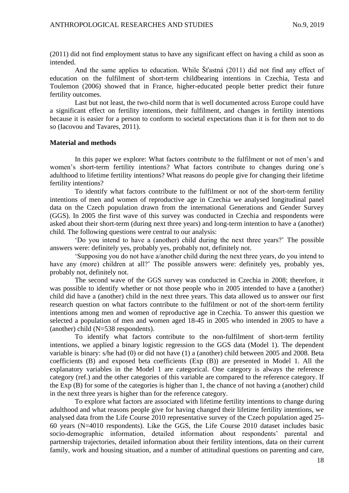(2011) did not find employment status to have any significant effect on having a child as soon as intended.

And the same applies to education. While Šťastná (2011) did not find any effect of education on the fulfilment of short-term childbearing intentions in Czechia, Testa and Toulemon (2006) showed that in France, higher-educated people better predict their future fertility outcomes.

Last but not least, the two-child norm that is well documented across Europe could have a significant effect on fertility intentions, their fulfilment, and changes in fertility intentions because it is easier for a person to conform to societal expectations than it is for them not to do so (Iacovou and Tavares, 2011).

#### **Material and methods**

In this paper we explore: What factors contribute to the fulfilment or not of men's and women's short-term fertility intentions? What factors contribute to changes during one´s adulthood to lifetime fertility intentions? What reasons do people give for changing their lifetime fertility intentions?

To identify what factors contribute to the fulfilment or not of the short-term fertility intentions of men and women of reproductive age in Czechia we analysed longitudinal panel data on the Czech population drawn from the international Generations and Gender Survey (GGS). In 2005 the first wave of this survey was conducted in Czechia and respondents were asked about their short-term (during next three years) and long-term intention to have a (another) child. The following questions were central to our analysis:

'Do you intend to have a (another) child during the next three years?' The possible answers were: definitely yes, probably yes, probably not, definitely not.

'Supposing you do not have a/another child during the next three years, do you intend to have any (more) children at all?' The possible answers were: definitely yes, probably yes, probably not, definitely not.

The second wave of the GGS survey was conducted in Czechia in 2008; therefore, it was possible to identify whether or not those people who in 2005 intended to have a (another) child did have a (another) child in the next three years. This data allowed us to answer our first research question on what factors contribute to the fulfilment or not of the short-term fertility intentions among men and women of reproductive age in Czechia. To answer this question we selected a population of men and women aged 18-45 in 2005 who intended in 2005 to have a (another) child (N=538 respondents).

To identify what factors contribute to the non-fulfilment of short-term fertility intentions, we applied a binary logistic regression to the GGS data (Model 1). The dependent variable is binary: s/he had (0) or did not have (1) a (another) child between 2005 and 2008. Beta coefficients (B) and exposed beta coefficients (Exp (B)) are presented in Model 1. All the explanatory variables in the Model 1 are categorical. One category is always the reference category (ref.) and the other categories of this variable are compared to the reference category. If the Exp (B) for some of the categories is higher than 1, the chance of not having a (another) child in the next three years is higher than for the reference category.

To explore what factors are associated with lifetime fertility intentions to change during adulthood and what reasons people give for having changed their lifetime fertility intentions, we analysed data from the Life Course 2010 representative survey of the Czech population aged 25- 60 years (N=4010 respondents). Like the GGS, the Life Course 2010 dataset includes basic socio-demographic information, detailed information about respondents' parental and partnership trajectories, detailed information about their fertility intentions, data on their current family, work and housing situation, and a number of attitudinal questions on parenting and care,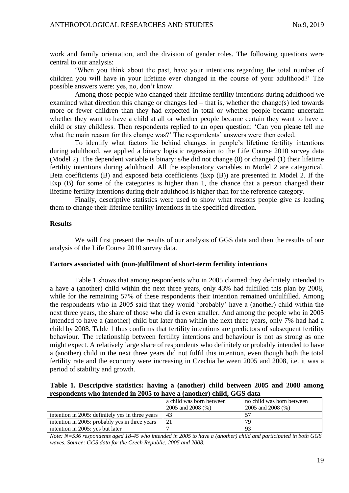work and family orientation, and the division of gender roles. The following questions were central to our analysis:

'When you think about the past, have your intentions regarding the total number of children you will have in your lifetime ever changed in the course of your adulthood?' The possible answers were: yes, no, don't know.

Among those people who changed their lifetime fertility intentions during adulthood we examined what direction this change or changes led – that is, whether the change(s) led towards more or fewer children than they had expected in total or whether people became uncertain whether they want to have a child at all or whether people became certain they want to have a child or stay childless. Then respondents replied to an open question: 'Can you please tell me what the main reason for this change was?' The respondents' answers were then coded.

To identify what factors lie behind changes in people's lifetime fertility intentions during adulthood, we applied a binary logistic regression to the Life Course 2010 survey data (Model 2). The dependent variable is binary: s/he did not change (0) or changed (1) their lifetime fertility intentions during adulthood. All the explanatory variables in Model 2 are categorical. Beta coefficients (B) and exposed beta coefficients (Exp (B)) are presented in Model 2. If the Exp (B) for some of the categories is higher than 1, the chance that a person changed their lifetime fertility intentions during their adulthood is higher than for the reference category.

Finally, descriptive statistics were used to show what reasons people give as leading them to change their lifetime fertility intentions in the specified direction.

#### **Results**

We will first present the results of our analysis of GGS data and then the results of our analysis of the Life Course 2010 survey data.

#### **Factors associated with (non-)fulfilment of short-term fertility intentions**

Table 1 shows that among respondents who in 2005 claimed they definitely intended to a have a (another) child within the next three years, only 43% had fulfilled this plan by 2008, while for the remaining 57% of these respondents their intention remained unfulfilled. Among the respondents who in 2005 said that they would 'probably' have a (another) child within the next three years, the share of those who did is even smaller. And among the people who in 2005 intended to have a (another) child but later than within the next three years, only 7% had had a child by 2008. Table 1 thus confirms that fertility intentions are predictors of subsequent fertility behaviour. The relationship between fertility intentions and behaviour is not as strong as one might expect. A relatively large share of respondents who definitely or probably intended to have a (another) child in the next three years did not fulfil this intention, even though both the total fertility rate and the economy were increasing in Czechia between 2005 and 2008, i.e. it was a period of stability and growth.

#### **Table 1. Descriptive statistics: having a (another) child between 2005 and 2008 among respondents who intended in 2005 to have a (another) child, GGS data**

|                                                  | a child was born between<br>2005 and 2008 (%) | no child was born between<br>2005 and 2008 $(\%)$ |
|--------------------------------------------------|-----------------------------------------------|---------------------------------------------------|
| intention in 2005: definitely yes in three years | 43                                            | 57                                                |
| intention in 2005: probably yes in three years   |                                               | 79                                                |
| intention in 2005: yes but later                 |                                               | 93                                                |

*Note: N=536 respondents aged 18-45 who intended in 2005 to have a (another) child and participated in both GGS waves. Source: GGS data for the Czech Republic, 2005 and 2008.*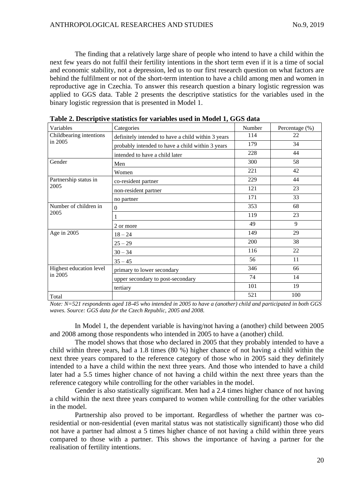The finding that a relatively large share of people who intend to have a child within the next few years do not fulfil their fertility intentions in the short term even if it is a time of social and economic stability, not a depression, led us to our first research question on what factors are behind the fulfilment or not of the short-term intention to have a child among men and women in reproductive age in Czechia. To answer this research question a binary logistic regression was applied to GGS data. Table 2 presents the descriptive statistics for the variables used in the binary logistic regression that is presented in Model 1.

| Variables                          | Categories                                         | Number | Percentage (%) |
|------------------------------------|----------------------------------------------------|--------|----------------|
| Childbearing intentions<br>in 2005 | definitely intended to have a child within 3 years | 114    | 22             |
|                                    | probably intended to have a child within 3 years   | 179    | 34             |
|                                    | intended to have a child later                     | 228    | 44             |
| Gender                             | Men                                                | 300    | 58             |
|                                    | Women                                              | 221    | 42             |
| Partnership status in              | co-resident partner                                | 229    | 44             |
| 2005                               | non-resident partner                               | 121    | 23             |
|                                    | no partner                                         | 171    | 33             |
| Number of children in<br>2005      | $\theta$                                           | 353    | 68             |
|                                    |                                                    | 119    | 23             |
|                                    | 2 or more                                          | 49     | 9              |
| Age in 2005                        | $18 - 24$                                          | 149    | 29             |
|                                    | $25 - 29$                                          | 200    | 38             |
|                                    | $30 - 34$                                          | 116    | 22             |
|                                    | $35 - 45$                                          | 56     | 11             |
| Highest education level            | primary to lower secondary                         | 346    | 66             |
| in 2005                            | upper secondary to post-secondary                  | 74     | 14             |
|                                    | tertiary                                           | 101    | 19             |
| Total                              |                                                    | 521    | 100            |

*Note: N=521 respondents aged 18-45 who intended in 2005 to have a (another) child and participated in both GGS waves. Source: GGS data for the Czech Republic, 2005 and 2008.*

In Model 1, the dependent variable is having/not having a (another) child between 2005 and 2008 among those respondents who intended in 2005 to have a (another) child.

The model shows that those who declared in 2005 that they probably intended to have a child within three years, had a 1.8 times (80 %) higher chance of not having a child within the next three years compared to the reference category of those who in 2005 said they definitely intended to a have a child within the next three years. And those who intended to have a child later had a 5.5 times higher chance of not having a child within the next three years than the reference category while controlling for the other variables in the model.

Gender is also statistically significant. Men had a 2.4 times higher chance of not having a child within the next three years compared to women while controlling for the other variables in the model.

Partnership also proved to be important. Regardless of whether the partner was coresidential or non-residential (even marital status was not statistically significant) those who did not have a partner had almost a 5 times higher chance of not having a child within three years compared to those with a partner. This shows the importance of having a partner for the realisation of fertility intentions.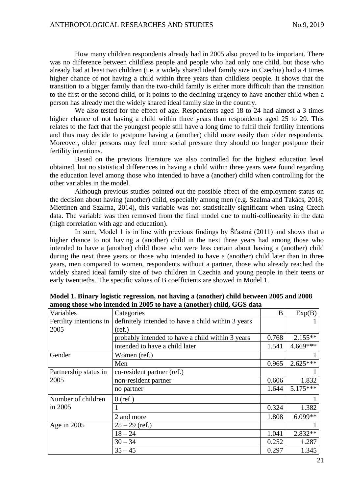How many children respondents already had in 2005 also proved to be important. There was no difference between childless people and people who had only one child, but those who already had at least two children (i.e. a widely shared ideal family size in Czechia) had a 4 times higher chance of not having a child within three years than childless people. It shows that the transition to a bigger family than the two-child family is either more difficult than the transition to the first or the second child, or it points to the declining urgency to have another child when a person has already met the widely shared ideal family size in the country.

We also tested for the effect of age. Respondents aged 18 to 24 had almost a 3 times higher chance of not having a child within three years than respondents aged 25 to 29. This relates to the fact that the youngest people still have a long time to fulfil their fertility intentions and thus may decide to postpone having a (another) child more easily than older respondents. Moreover, older persons may feel more social pressure they should no longer postpone their fertility intentions.

Based on the previous literature we also controlled for the highest education level obtained, but no statistical differences in having a child within three years were found regarding the education level among those who intended to have a (another) child when controlling for the other variables in the model.

Although previous studies pointed out the possible effect of the employment status on the decision about having (another) child, especially among men (e.g. Szalma and Takács, 2018; Miettinen and Szalma, 2014), this variable was not statistically significant when using Czech data. The variable was then removed from the final model due to multi-collinearity in the data (high correlation with age and education).

In sum, Model 1 is in line with previous findings by Šťastná (2011) and shows that a higher chance to not having a (another) child in the next three years had among those who intended to have a (another) child those who were less certain about having a (another) child during the next three years or those who intended to have a (another) child later than in three years, men compared to women, respondents without a partner, those who already reached the widely shared ideal family size of two children in Czechia and young people in their teens or early twentieths. The specific values of B coefficients are showed in Model 1.

| Variables               | Categories                                         | B     | Exp(B)     |
|-------------------------|----------------------------------------------------|-------|------------|
| Fertility intentions in | definitely intended to have a child within 3 years |       |            |
| 2005                    | (ref.)                                             |       |            |
|                         | probably intended to have a child within 3 years   | 0.768 | $2.155**$  |
|                         | intended to have a child later                     | 1.541 | 4.669***   |
| Gender                  | Women (ref.)                                       |       |            |
|                         | Men                                                | 0.965 | $2.625***$ |
| Partnership status in   | co-resident partner (ref.)                         |       |            |
| 2005                    | non-resident partner                               | 0.606 | 1.832      |
|                         | no partner                                         | 1.644 | $5.175***$ |
| Number of children      | $0$ (ref.)                                         |       |            |
| in 2005                 |                                                    | 0.324 | 1.382      |
|                         | 2 and more                                         | 1.808 | $6.099**$  |
| Age in $2005$           | $25 - 29$ (ref.)                                   |       |            |
|                         | $18 - 24$                                          | 1.041 | $2.832**$  |
|                         | $30 - 34$                                          | 0.252 | 1.287      |
|                         | $35 - 45$                                          | 0.297 | 1.345      |

**Model 1. Binary logistic regression, not having a (another) child between 2005 and 2008 among those who intended in 2005 to have a (another) child, GGS data**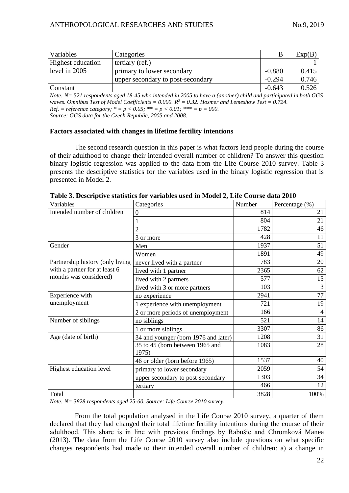| <b>Variables</b>         | Categories                        |          | Exp(B) |
|--------------------------|-----------------------------------|----------|--------|
| <b>Highest education</b> | tertiary (ref.)                   |          |        |
| level in 2005            | primary to lower secondary        | $-0.880$ | 0.415  |
|                          | upper secondary to post-secondary | $-0.294$ | 0.746  |
| Constant                 |                                   | $-0.643$ | 0.526  |

*Note: N= 521 respondents aged 18-45 who intended in 2005 to have a (another) child and participated in both GGS waves. Omnibus Test of Model Coefficients = 0.000. R <sup>2</sup> = 0.32. Hosmer and Lemeshow Test = 0.724. Ref.* = *reference category;*  $* = p < 0.05$ ;  $** = p < 0.01$ ;  $*** = p = 000$ . *Source: GGS data for the Czech Republic, 2005 and 2008.*

## **Factors associated with changes in lifetime fertility intentions**

The second research question in this paper is what factors lead people during the course of their adulthood to change their intended overall number of children? To answer this question binary logistic regression was applied to the data from the Life Course 2010 survey. Table 3 presents the descriptive statistics for the variables used in the binary logistic regression that is presented in Model 2.

| Variables                        | Categories                               | Number | Percentage (%) |
|----------------------------------|------------------------------------------|--------|----------------|
| Intended number of children      | $\boldsymbol{0}$                         | 814    | 21             |
|                                  |                                          | 804    | 21             |
|                                  |                                          | 1782   | 46             |
|                                  | 3 or more                                | 428    | 11             |
| Gender                           | Men                                      | 1937   | 51             |
|                                  | Women                                    | 1891   | 49             |
| Partnership history (only living | never lived with a partner               | 783    | 20             |
| with a partner for at least 6    | lived with 1 partner                     | 2365   | 62             |
| months was considered)           | lived with 2 partners                    | 577    | 15             |
|                                  | lived with 3 or more partners            | 103    | 3              |
| Experience with<br>unemployment  | no experience                            | 2941   | 77             |
|                                  | 1 experience with unemployment           | 721    | 19             |
|                                  | 2 or more periods of unemployment        | 166    | 4              |
| Number of siblings               | no siblings                              | 521    | 14             |
|                                  | 1 or more siblings                       | 3307   | 86             |
| Age (date of birth)              | 34 and younger (born 1976 and later)     | 1208   | 31             |
|                                  | 35 to 45 (born between 1965 and<br>1975) | 1083   | 28             |
|                                  | 46 or older (born before 1965)           | 1537   | 40             |
| Highest education level          | primary to lower secondary               | 2059   | 54             |
|                                  | upper secondary to post-secondary        | 1303   | 34             |
|                                  | tertiary                                 | 466    | 12             |
| Total                            |                                          | 3828   | 100%           |

**Table 3. Descriptive statistics for variables used in Model 2, Life Course data 2010**

*Note: N= 3828 respondents aged 25-60. Source: Life Course 2010 survey.* 

From the total population analysed in the Life Course 2010 survey, a quarter of them declared that they had changed their total lifetime fertility intentions during the course of their adulthood. This share is in line with previous findings by Rabušic and Chromková Manea (2013). The data from the Life Course 2010 survey also include questions on what specific changes respondents had made to their intended overall number of children: a) a change in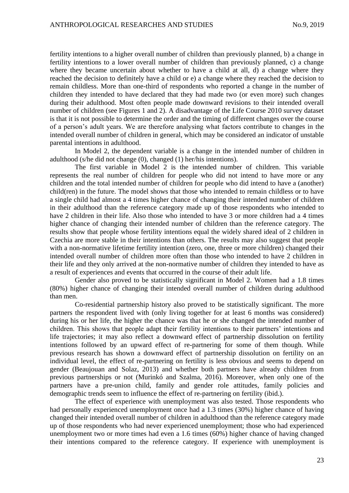fertility intentions to a higher overall number of children than previously planned, b) a change in fertility intentions to a lower overall number of children than previously planned, c) a change where they became uncertain about whether to have a child at all, d) a change where they reached the decision to definitely have a child or e) a change where they reached the decision to remain childless. More than one-third of respondents who reported a change in the number of children they intended to have declared that they had made two (or even more) such changes during their adulthood. Most often people made downward revisions to their intended overall number of children (see Figures 1 and 2). A disadvantage of the Life Course 2010 survey dataset is that it is not possible to determine the order and the timing of different changes over the course of a person's adult years. We are therefore analysing what factors contribute to changes in the intended overall number of children in general, which may be considered an indicator of unstable parental intentions in adulthood.

In Model 2, the dependent variable is a change in the intended number of children in adulthood (s/he did not change (0), changed (1) her/his intentions).

The first variable in Model 2 is the intended number of children. This variable represents the real number of children for people who did not intend to have more or any children and the total intended number of children for people who did intend to have a (another) child(ren) in the future. The model shows that those who intended to remain childless or to have a single child had almost a 4 times higher chance of changing their intended number of children in their adulthood than the reference category made up of those respondents who intended to have 2 children in their life. Also those who intended to have 3 or more children had a 4 times higher chance of changing their intended number of children than the reference category. The results show that people whose fertility intentions equal the widely shared ideal of 2 children in Czechia are more stable in their intentions than others. The results may also suggest that people with a non-normative lifetime fertility intention (zero, one, three or more children) changed their intended overall number of children more often than those who intended to have 2 children in their life and they only arrived at the non-normative number of children they intended to have as a result of experiences and events that occurred in the course of their adult life.

Gender also proved to be statistically significant in Model 2. Women had a 1.8 times (80%) higher chance of changing their intended overall number of children during adulthood than men.

Co-residential partnership history also proved to be statistically significant. The more partners the respondent lived with (only living together for at least 6 months was considered) during his or her life, the higher the chance was that he or she changed the intended number of children. This shows that people adapt their fertility intentions to their partners' intentions and life trajectories; it may also reflect a downward effect of partnership dissolution on fertility intentions followed by an upward effect of re-partnering for some of them though. While previous research has shown a downward effect of partnership dissolution on fertility on an individual level, the effect of re-partnering on fertility is less obvious and seems to depend on gender (Beaujouan and Solaz, 2013) and whether both partners have already children from previous partnerships or not (Murinkó and Szalma, 2016). Moreover, when only one of the partners have a pre-union child, family and gender role attitudes, family policies and demographic trends seem to influence the effect of re-partnering on fertility (ibid.).

The effect of experience with unemployment was also tested. Those respondents who had personally experienced unemployment once had a 1.3 times (30%) higher chance of having changed their intended overall number of children in adulthood than the reference category made up of those respondents who had never experienced unemployment; those who had experienced unemployment two or more times had even a 1.6 times (60%) higher chance of having changed their intentions compared to the reference category. If experience with unemployment is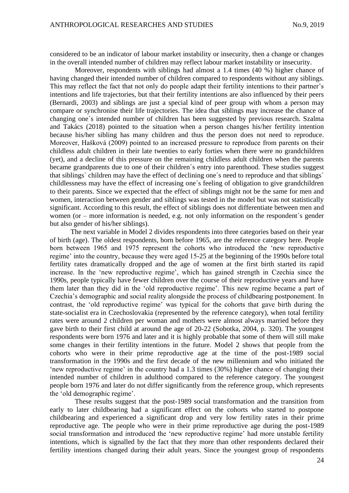considered to be an indicator of labour market instability or insecurity, then a change or changes in the overall intended number of children may reflect labour market instability or insecurity.

Moreover, respondents with siblings had almost a 1.4 times (40 %) higher chance of having changed their intended number of children compared to respondents without any siblings. This may reflect the fact that not only do people adapt their fertility intentions to their partner's intentions and life trajectories, but that their fertility intentions are also influenced by their peers (Bernardi, 2003) and siblings are just a special kind of peer group with whom a person may compare or synchronise their life trajectories. The idea that siblings may increase the chance of changing one´s intended number of children has been suggested by previous research. Szalma and Takács (2018) pointed to the situation when a person changes his/her fertility intention because his/her sibling has many children and thus the person does not need to reproduce. Moreover, Hašková (2009) pointed to an increased pressure to reproduce from parents on their childless adult children in their late twenties to early forties when there were no grandchildren (yet), and a decline of this pressure on the remaining childless adult children when the parents became grandparents due to one of their children´s entry into parenthood. These studies suggest that siblings´ children may have the effect of declining one´s need to reproduce and that siblings´ childlessness may have the effect of increasing one´s feeling of obligation to give grandchildren to their parents. Since we expected that the effect of siblings might not be the same for men and women, interaction between gender and siblings was tested in the model but was not statistically significant. According to this result, the effect of siblings does not differentiate between men and women (or – more information is needed, e.g. not only information on the respondent´s gender but also gender of his/her siblings).

The next variable in Model 2 divides respondents into three categories based on their year of birth (age). The oldest respondents, born before 1965, are the reference category here. People born between 1965 and 1975 represent the cohorts who introduced the 'new reproductive regime' into the country, because they were aged 15-25 at the beginning of the 1990s before total fertility rates dramatically dropped and the age of women at the first birth started its rapid increase. In the 'new reproductive regime', which has gained strength in Czechia since the 1990s, people typically have fewer children over the course of their reproductive years and have them later than they did in the 'old reproductive regime'. This new regime became a part of Czechia's demographic and social reality alongside the process of childbearing postponement. In contrast, the 'old reproductive regime' was typical for the cohorts that gave birth during the state-socialist era in Czechoslovakia (represented by the reference category), when total fertility rates were around 2 children per woman and mothers were almost always married before they gave birth to their first child at around the age of 20-22 (Sobotka, 2004, p. 320). The youngest respondents were born 1976 and later and it is highly probable that some of them will still make some changes in their fertility intentions in the future. Model 2 shows that people from the cohorts who were in their prime reproductive age at the time of the post-1989 social transformation in the 1990s and the first decade of the new millennium and who initiated the 'new reproductive regime' in the country had a 1.3 times (30%) higher chance of changing their intended number of children in adulthood compared to the reference category. The youngest people born 1976 and later do not differ significantly from the reference group, which represents the 'old demographic regime'.

These results suggest that the post-1989 social transformation and the transition from early to later childbearing had a significant effect on the cohorts who started to postpone childbearing and experienced a significant drop and very low fertility rates in their prime reproductive age. The people who were in their prime reproductive age during the post-1989 social transformation and introduced the 'new reproductive regime' had more unstable fertility intentions, which is signalled by the fact that they more than other respondents declared their fertility intentions changed during their adult years. Since the youngest group of respondents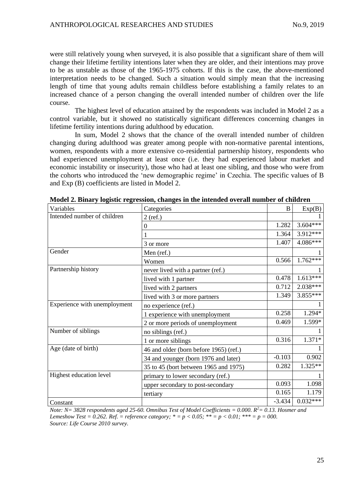were still relatively young when surveyed, it is also possible that a significant share of them will change their lifetime fertility intentions later when they are older, and their intentions may prove to be as unstable as those of the 1965-1975 cohorts. If this is the case, the above-mentioned interpretation needs to be changed. Such a situation would simply mean that the increasing length of time that young adults remain childless before establishing a family relates to an increased chance of a person changing the overall intended number of children over the life course.

The highest level of education attained by the respondents was included in Model 2 as a control variable, but it showed no statistically significant differences concerning changes in lifetime fertility intentions during adulthood by education.

In sum, Model 2 shows that the chance of the overall intended number of children changing during adulthood was greater among people with non-normative parental intentions, women, respondents with a more extensive co-residential partnership history, respondents who had experienced unemployment at least once (i.e. they had experienced labour market and economic instability or insecurity), those who had at least one sibling, and those who were from the cohorts who introduced the 'new demographic regime' in Czechia. The specific values of B and Exp (B) coefficients are listed in Model 2.

| Variables                    | Categories                             | $\bf{B}$ | Exp(B)     |
|------------------------------|----------------------------------------|----------|------------|
| Intended number of children  | $2$ (ref.)                             |          |            |
|                              | 0                                      | 1.282    | $3.604***$ |
|                              |                                        | 1.364    | 3.912***   |
|                              | 3 or more                              | 1.407    | 4.086***   |
| Gender                       | Men (ref.)                             |          |            |
|                              | Women                                  | 0.566    | $1.762***$ |
| Partnership history          | never lived with a partner (ref.)      |          |            |
|                              | lived with 1 partner                   | 0.478    | $1.613***$ |
|                              | lived with 2 partners                  | 0.712    | 2.038***   |
|                              | lived with 3 or more partners          | 1.349    | 3.855***   |
| Experience with unemployment | no experience (ref.)                   |          |            |
|                              | 1 experience with unemployment         | 0.258    | 1.294*     |
|                              | 2 or more periods of unemployment      | 0.469    | 1.599*     |
| Number of siblings           | no siblings (ref.)                     |          |            |
|                              | 1 or more siblings                     | 0.316    | $1.371*$   |
| Age (date of birth)          | 46 and older (born before 1965) (ref.) |          |            |
|                              | 34 and younger (born 1976 and later)   | $-0.103$ | 0.902      |
|                              | 35 to 45 (bort between 1965 and 1975)  | 0.282    | $1.325**$  |
| Highest education level      | primary to lower secondary (ref.)      |          |            |
|                              | upper secondary to post-secondary      | 0.093    | 1.098      |
|                              | tertiary                               | 0.165    | 1.179      |
| Constant                     |                                        | $-3.434$ | $0.032***$ |

**Model 2. Binary logistic regression, changes in the intended overall number of children**

*Note: N= 3828 respondents aged 25-60. Omnibus Test of Model Coefficients = 0.000. R <sup>2</sup>= 0.13. Hosmer and Lemeshow Test* = 0.262. *Ref.* = reference category;  $* = p < 0.05$ ;  $** = p < 0.01$ ;  $*** = p = 000$ . *Source: Life Course 2010 survey.*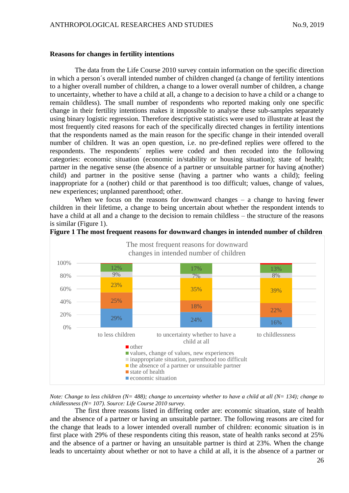## **Reasons for changes in fertility intentions**

The data from the Life Course 2010 survey contain information on the specific direction in which a person´s overall intended number of children changed (a change of fertility intentions to a higher overall number of children, a change to a lower overall number of children, a change to uncertainty, whether to have a child at all, a change to a decision to have a child or a change to remain childless). The small number of respondents who reported making only one specific change in their fertility intentions makes it impossible to analyse these sub-samples separately using binary logistic regression. Therefore descriptive statistics were used to illustrate at least the most frequently cited reasons for each of the specifically directed changes in fertility intentions that the respondents named as the main reason for the specific change in their intended overall number of children. It was an open question, i.e. no pre-defined replies were offered to the respondents. The respondents´ replies were coded and then recoded into the following categories: economic situation (economic in/stability or housing situation); state of health; partner in the negative sense (the absence of a partner or unsuitable partner for having a(nother) child) and partner in the positive sense (having a partner who wants a child); feeling inappropriate for a (nother) child or that parenthood is too difficult; values, change of values, new experiences; unplanned parenthood; other.

When we focus on the reasons for downward changes  $-$  a change to having fewer children in their lifetime, a change to being uncertain about whether the respondent intends to have a child at all and a change to the decision to remain childless – the structure of the reasons is similar (Figure 1).





*Note: Change to less children (N= 488); change to uncertainty whether to have a child at all (N= 134); change to childlessness (N= 107). Source: Life Course 2010 survey.* 

The first three reasons listed in differing order are: economic situation, state of health and the absence of a partner or having an unsuitable partner. The following reasons are cited for the change that leads to a lower intended overall number of children: economic situation is in first place with 29% of these respondents citing this reason, state of health ranks second at 25% and the absence of a partner or having an unsuitable partner is third at 23%. When the change leads to uncertainty about whether or not to have a child at all, it is the absence of a partner or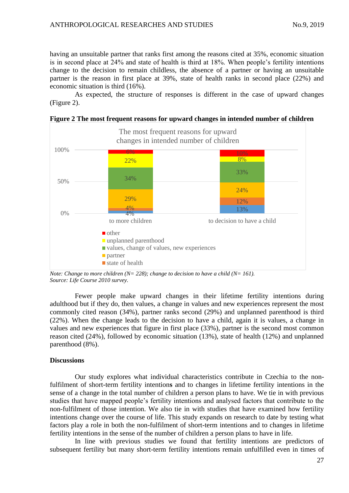having an unsuitable partner that ranks first among the reasons cited at 35%, economic situation is in second place at 24% and state of health is third at 18%. When people's fertility intentions change to the decision to remain childless, the absence of a partner or having an unsuitable partner is the reason in first place at 39%, state of health ranks in second place (22%) and economic situation is third (16%).

As expected, the structure of responses is different in the case of upward changes (Figure 2).



**Figure 2 The most frequent reasons for upward changes in intended number of children**

*Note: Change to more children (N= 228); change to decision to have a child (N= 161). Source: Life Course 2010 survey.* 

Fewer people make upward changes in their lifetime fertility intentions during adulthood but if they do, then values, a change in values and new experiences represent the most commonly cited reason (34%), partner ranks second (29%) and unplanned parenthood is third (22%). When the change leads to the decision to have a child, again it is values, a change in values and new experiences that figure in first place (33%), partner is the second most common reason cited (24%), followed by economic situation (13%), state of health (12%) and unplanned parenthood (8%).

## **Discussions**

Our study explores what individual characteristics contribute in Czechia to the nonfulfilment of short-term fertility intention**s** and to changes in lifetime fertility intentions in the sense of a change in the total number of children a person plans to have. We tie in with previous studies that have mapped people's fertility intentions and analysed factors that contribute to the non-fulfilment of those intention. We also tie in with studies that have examined how fertility intentions change over the course of life. This study expands on research to date by testing what factors play a role in both the non-fulfilment of short-term intentions and to changes in lifetime fertility intentions in the sense of the number of children a person plans to have in life.

In line with previous studies we found that fertility intentions are predictors of subsequent fertility but many short-term fertility intentions remain unfulfilled even in times of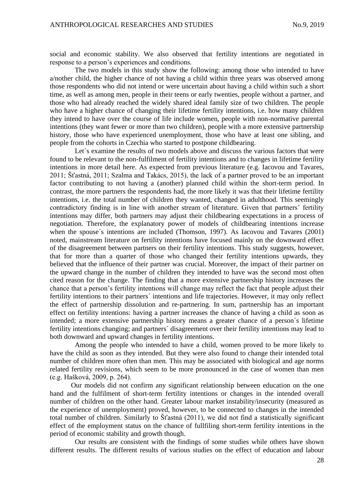social and economic stability. We also observed that fertility intentions are negotiated in response to a person's experiences and conditions.

The two models in this study show the following: among those who intended to have a/nother child, the higher chance of not having a child within three years was observed among those respondents who did not intend or were uncertain about having a child within such a short time, as well as among men, people in their teens or early twenties, people without a partner, and those who had already reached the widely shared ideal family size of two children. The people who have a higher chance of changing their lifetime fertility intentions, i.e. how many children they intend to have over the course of life include women, people with non-normative parental intentions (they want fewer or more than two children), people with a more extensive partnership history, those who have experienced unemployment, those who have at least one sibling, and people from the cohorts in Czechia who started to postpone childbearing.

Let's examine the results of two models above and discuss the various factors that were found to be relevant to the non-fulfilment of fertility intentions and to changes in lifetime fertility intentions in more detail here. As expected from previous literature (e.g. Iacovou and Tavares, 2011; Šťastná, 2011; Szalma and Takács, 2015), the lack of a partner proved to be an important factor contributing to not having a (another) planned child within the short-term period. In contrast, the more partners the respondents had, the more likely it was that their lifetime fertility intentions, i.e. the total number of children they wanted, changed in adulthood. This seemingly contradictory finding is in line with another stream of literature. Given that partners' fertility intentions may differ, both partners may adjust their childbearing expectations in a process of negotiation. Therefore, the explanatory power of models of childbearing intentions increase when the spouse´s intentions are included (Thomson, 1997). As Iacovou and Tavares (2001) noted, mainstream literature on fertility intentions have focused mainly on the downward effect of the disagreement between partners on their fertility intentions. This study suggests, however, that for more than a quarter of those who changed their fertility intentions upwards, they believed that the influence of their partner was crucial. Moreover, the impact of their partner on the upward change in the number of children they intended to have was the second most often cited reason for the change. The finding that a more extensive partnership history increases the chance that a person's fertility intentions will change may reflect the fact that people adjust their fertility intentions to their partners´ intentions and life trajectories. However, it may only reflect the effect of partnership dissolution and re-partnering. In sum, partnership has an important effect on fertility intentions: having a partner increases the chance of having a child as soon as intended; a more extensive partnership history means a greater chance of a person´s lifetime fertility intentions changing; and partners´ disagreement over their fertility intentions may lead to both downward and upward changes in fertility intentions.

Among the people who intended to have a child, women proved to be more likely to have the child as soon as they intended. But they were also found to change their intended total number of children more often than men. This may be associated with biological and age norms related fertility revisions, which seem to be more pronounced in the case of women than men (e.g. Hašková, 2009, p. 264).

Our models did not confirm any significant relationship between education on the one hand and the fulfilment of short-term fertility intentions or changes in the intended overall number of children on the other hand. Greater labour market instability/insecurity (measured as the experience of unemployment) proved, however, to be connected to changes in the intended total number of children. Similarly to Šťastná (2011), we did not find a statistically significant effect of the employment status on the chance of fullfiling short-term fertility intentions in the period of economic stability and growth though.

Our results are consistent with the findings of some studies while others have shown different results. The different results of various studies on the effect of education and labour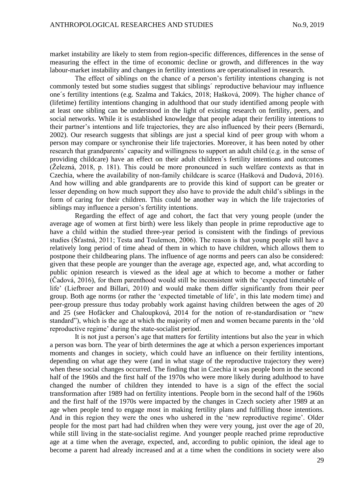market instability are likely to stem from region-specific differences, differences in the sense of measuring the effect in the time of economic decline or growth, and differences in the way labour-market instability and changes in fertility intentions are operationalised in research.

The effect of siblings on the chance of a person's fertility intentions changing is not commonly tested but some studies suggest that siblings´ reproductive behaviour may influence one´s fertility intentions (e.g. Szalma and Takács, 2018; Hašková, 2009). The higher chance of (lifetime) fertility intentions changing in adulthood that our study identified among people with at least one sibling can be understood in the light of existing research on fertility, peers, and social networks. While it is established knowledge that people adapt their fertility intentions to their partner's intentions and life trajectories, they are also influenced by their peers (Bernardi, 2002). Our research suggests that siblings are just a special kind of peer group with whom a person may compare or synchronise their life trajectories. Moreover, it has been noted by other research that grandparents' capacity and willingness to support an adult child (e.g. in the sense of providing childcare) have an effect on their adult children´s fertility intentions and outcomes (Železná, 2018, p. 181). This could be more pronounced in such welfare contexts as that in Czechia, where the availability of non-family childcare is scarce (Hašková and Dudová, 2016). And how willing and able grandparents are to provide this kind of support can be greater or lesser depending on how much support they also have to provide the adult child's siblings in the form of caring for their children. This could be another way in which the life trajectories of siblings may influence a person's fertility intentions.

Regarding the effect of age and cohort, the fact that very young people (under the average age of women at first birth) were less likely than people in prime reproductive age to have a child within the studied three-year period is consistent with the findings of previous studies (Šťastná, 2011; Testa and Toulemon, 2006). The reason is that young people still have a relatively long period of time ahead of them in which to have children, which allows them to postpone their childbearing plans. The influence of age norms and peers can also be considered: given that these people are younger than the average age, expected age, and, what according to public opinion research is viewed as the ideal age at which to become a mother or father (Čadová, 2016), for them parenthood would still be inconsistent with the 'expected timetable of life' (Liefbroer and Billari, 2010) and would make them differ significantly from their peer group. Both age norms (or rather the 'expected timetable of life', in this late modern time) and peer-group pressure thus today probably work against having children between the ages of 20 and 25 (see Hofäcker and Chaloupková, 2014 for the notion of re-standardisation or "new standard"), which is the age at which the majority of men and women became parents in the 'old reproductive regime' during the state-socialist period.

It is not just a person's age that matters for fertility intentions but also the year in which a person was born. The year of birth determines the age at which a person experiences important moments and changes in society, which could have an influence on their fertility intentions, depending on what age they were (and in what stage of the reproductive trajectory they were) when these social changes occurred. The finding that in Czechia it was people born in the second half of the 1960s and the first half of the 1970s who were more likely during adulthood to have changed the number of children they intended to have is a sign of the effect the social transformation after 1989 had on fertility intentions. People born in the second half of the 1960s and the first half of the 1970s were impacted by the changes in Czech society after 1989 at an age when people tend to engage most in making fertility plans and fulfilling those intentions. And in this region they were the ones who ushered in the 'new reproductive regime'. Older people for the most part had had children when they were very young, just over the age of 20, while still living in the state-socialist regime. And younger people reached prime reproductive age at a time when the average, expected, and, according to public opinion, the ideal age to become a parent had already increased and at a time when the conditions in society were also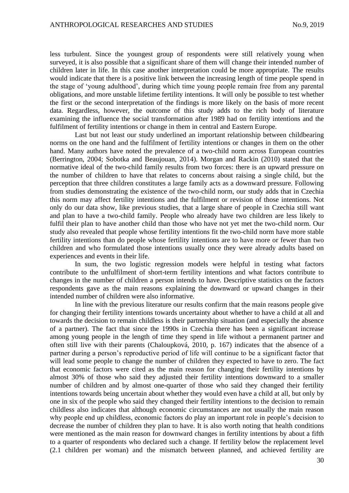less turbulent. Since the youngest group of respondents were still relatively young when surveyed, it is also possible that a significant share of them will change their intended number of children later in life. In this case another interpretation could be more appropriate. The results would indicate that there is a positive link between the increasing length of time people spend in the stage of 'young adulthood', during which time young people remain free from any parental obligations, and more unstable lifetime fertility intentions. It will only be possible to test whether the first or the second interpretation of the findings is more likely on the basis of more recent data. Regardless, however, the outcome of this study adds to the rich body of literature examining the influence the social transformation after 1989 had on fertility intentions and the fulfilment of fertility intentions or change in them in central and Eastern Europe.

Last but not least our study underlined an important relationship between childbearing norms on the one hand and the fulfilment of fertility intentions or changes in them on the other hand. Many authors have noted the prevalence of a two-child norm across European countries (Berrington, 2004; Sobotka and Beaujouan, 2014). Morgan and Rackin (2010) stated that the normative ideal of the two-child family results from two forces: there is an upward pressure on the number of children to have that relates to concerns about raising a single child, but the perception that three children constitutes a large family acts as a downward pressure. Following from studies demonstrating the existence of the two-child norm, our study adds that in Czechia this norm may affect fertility intentions and the fulfilment or revision of those intentions. Not only do our data show, like previous studies, that a large share of people in Czechia still want and plan to have a two-child family. People who already have two children are less likely to fulfil their plan to have another child than those who have not yet met the two-child norm. Our study also revealed that people whose fertility intentions fit the two-child norm have more stable fertility intentions than do people whose fertility intentions are to have more or fewer than two children and who formulated those intentions usually once they were already adults based on experiences and events in their life.

In sum, the two logistic regression models were helpful in testing what factors contribute to the unfulfilment of short-term fertility intentions and what factors contribute to changes in the number of children a person intends to have. Descriptive statistics on the factors respondents gave as the main reasons explaining the downward or upward changes in their intended number of children were also informative.

In line with the previous literature our results confirm that the main reasons people give for changing their fertility intentions towards uncertainty about whether to have a child at all and towards the decision to remain childless is their partnership situation (and especially the absence of a partner). The fact that since the 1990s in Czechia there has been a significant increase among young people in the length of time they spend in life without a permanent partner and often still live with their parents (Chaloupková, 2010, p. 167) indicates that the absence of a partner during a person's reproductive period of life will continue to be a significant factor that will lead some people to change the number of children they expected to have to zero. The fact that economic factors were cited as the main reason for changing their fertility intentions by almost 30% of those who said they adjusted their fertility intentions downward to a smaller number of children and by almost one-quarter of those who said they changed their fertility intentions towards being uncertain about whether they would even have a child at all, but only by one in six of the people who said they changed their fertility intentions to the decision to remain childless also indicates that although economic circumstances are not usually the main reason why people end up childless, economic factors do play an important role in people's decision to decrease the number of children they plan to have. It is also worth noting that health conditions were mentioned as the main reason for downward changes in fertility intentions by about a fifth to a quarter of respondents who declared such a change. If fertility below the replacement level (2.1 children per woman) and the mismatch between planned, and achieved fertility are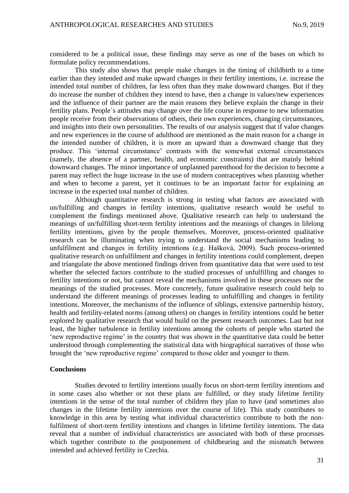considered to be a political issue, these findings may serve as one of the bases on which to formulate policy recommendations.

This study also shows that people make changes in the timing of childbirth to a time earlier than they intended and make upward changes in their fertility intentions, i.e. increase the intended total number of children, far less often than they make downward changes. But if they do increase the number of children they intend to have, then a change in values/new experiences and the influence of their partner are the main reasons they believe explain the change in their fertility plans. People´s attitudes may change over the life course in response to new information people receive from their observations of others, their own experiences, changing circumstances, and insights into their own personalities. The results of our analysis suggest that if value changes and new experiences in the course of adulthood are mentioned as the main reason for a change in the intended number of children, it is more an upward than a downward change that they produce. This 'internal circumstance' contrasts with the somewhat external circumstances (namely, the absence of a partner, health, and economic constraints) that are mainly behind downward changes. The minor importance of unplanned parenthood for the decision to become a parent may reflect the huge increase in the use of modern contraceptives when planning whether and when to become a parent, yet it continues to be an important factor for explaining an increase in the expected total number of children.

Although quantitative research is strong in testing what factors are associated with un/fulfilling and changes in fertility intentions, qualitative research would be useful to complement the findings mentioned above. Qualitative research can help to understand the meanings of un/fulfilling short-term fertility intentions and the meanings of changes in lifelong fertility intentions, given by the people themselves. Moreover, process-oriented qualitative research can be illuminating when trying to understand the social mechanisms leading to unfulfilment and changes in fertility intentions (e.g. Hašková, 2009). Such process-oriented qualitative research on unfulfilment and changes in fertility intentions could complement, deepen and triangulate the above mentioned findings driven from quantitative data that were used to test whether the selected factors contribute to the studied processes of unfulfilling and changes to fertility intentions or not, but cannot reveal the mechanisms involved in these processes nor the meanings of the studied processes. More concretely, future qualitative research could help to understand the different meanings of processes leading to unfulfilling and changes in fertility intentions. Moreover, the mechanisms of the influence of siblings, extensive partnership history, health and fertility-related norms (among others) on changes in fertility intentions could be better explored by qualitative research that would build on the present research outcomes. Last but not least, the higher turbulence in fertility intentions among the cohorts of people who started the 'new reproductive regime' in the country that was shown in the quantitative data could be better understood through complementing the statistical data with biographical narratives of those who brought the 'new reproductive regime' compared to those older and younger to them.

## **Conclusions**

Studies devoted to fertility intentions usually focus on short-term fertility intentions and in some cases also whether or not these plans are fulfilled, or they study lifetime fertility intentions in the sense of the total number of children they plan to have (and sometimes also changes in the lifetime fertility intentions over the course of life). This study contributes to knowledge in this area by testing what individual characteristics contribute to both the nonfulfilment of short-term fertility intentions and changes in lifetime fertility intentions. The data reveal that a number of individual characteristics are associated with both of these processes which together contribute to the postponement of childbearing and the mismatch between intended and achieved fertility in Czechia.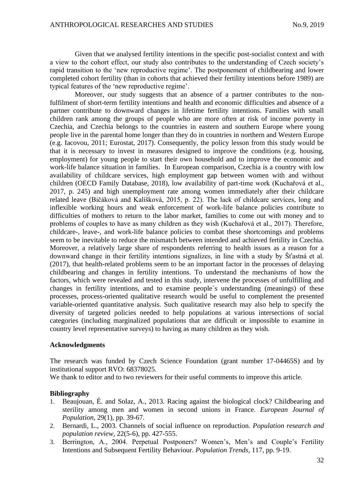Given that we analysed fertility intentions in the specific post-socialist context and with a view to the cohort effect, our study also contributes to the understanding of Czech society's rapid transition to the 'new reproductive regime'. The postponement of childbearing and lower completed cohort fertility (than in cohorts that achieved their fertility intentions before 1989) are typical features of the 'new reproductive regime'.

Moreover, our study suggests that an absence of a partner contributes to the nonfulfilment of short-term fertility intentions and health and economic difficulties and absence of a partner contribute to downward changes in lifetime fertility intentions. Families with small children rank among the groups of people who are more often at risk of income poverty in Czechia, and Czechia belongs to the countries in eastern and southern Europe where young people live in the parental home longer than they do in countries in northern and Western Europe (e.g. Iacovou, 2011; Eurostat, 2017). Consequently, the policy lesson from this study would be that it is necessary to invest in measures designed to improve the conditions (e.g. housing, employment) for young people to start their own household and to improve the economic and work-life balance situation in families. In European comparison, Czechia is a country with low availability of childcare services, high employment gap between women with and without children (OECD Family Database, 2018), low availability of part-time work (Kuchařová et al., 2017, p. 245) and high unemployment rate among women immediately after their childcare related leave (Bičáková and Kalíšková, 2015, p. 22). The lack of childcare services, long and inflexible working hours and weak enforcement of work-life balance policies contribute to difficulties of mothers to return to the labor market, families to come out with money and to problems of couples to have as many children as they wish (Kuchařová et al., 2017). Therefore, childcare-, leave-, and work-life balance policies to combat these shortcomings and problems seem to be inevitable to reduce the mismatch between intended and achieved fertility in Czechia. Moreover, a relatively large share of respondents referring to health issues as a reason for a downward change in their fertility intentions signalizes, in line with a study by Šťastná et al. (2017), that health-related problems seem to be an important factor in the processes of delaying childbearing and changes in fertility intentions. To understand the mechanisms of how the factors, which were revealed and tested in this study, intervene the processes of unfulfilling and changes in fertility intentions, and to examine people´s understanding (meanings) of these processes, process-oriented qualitative research would be useful to complement the presented variable-oriented quantitative analysis. Such qualitative research may also help to specify the diversity of targeted policies needed to help populations at various intersections of social categories (including marginalized populations that are difficult or impossible to examine in country level representative surveys) to having as many children as they wish.

## **Acknowledgments**

The research was funded by Czech Science Foundation (grant number 17-04465S) and by institutional support RVO: 68378025.

We thank to editor and to two reviewers for their useful comments to improve this article.

## **Bibliography**

- 1. Beaujouan, É. and Solaz, A., 2013. Racing against the biological clock? Childbearing and sterility among men and women in second unions in France. *European Journal of Population*, 29(1), pp. 39-67.
- 2. Bernardi, L., 2003*.* Channels of social influence on reproduction*. Population research and population review,* 22(5-6), pp. 427-555.
- 3. Berrington, A., 2004. Perpetual Postponers? Women's, Men's and Couple's Fertility Intentions and Subsequent Fertility Behaviour. *Population Trends*, 117, pp. 9-19.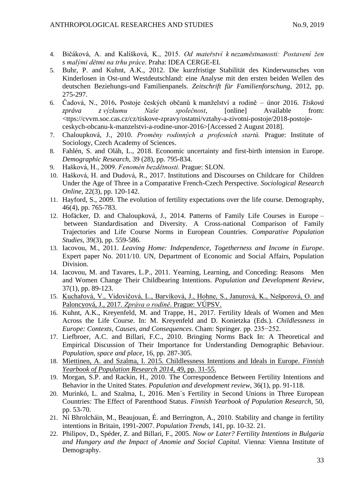- 4. Bičáková, A. and Kalíšková, K., 2015. *Od mateřství k nezaměstnanosti: Postavení žen s malými dětmi na trhu práce*. Praha: IDEA CERGE-EI.
- 5. Buhr, P. and Kuhnt, A.K., 2012. Die kurzfristige Stabilität des Kinderwunsches von Kinderlosen in Ost-und Westdeutschland: eine Analyse mit den ersten beiden Wellen des deutschen Beziehungs-und Familienpanels. *Zeitschrift für Familienforschung*, 2012, pp. 275-297.
- 6. Čadová, N., 2016**.** Postoje českých občanů k manželství a rodině únor 2016. *Tisková zpráva z výzkumu Naše společnost*, [online] Available from: <ttps://cvvm.soc.cas.cz/cz/tiskove-zpravy/ostatni/vztahy-a-zivotni-postoje/2018-postojeceskych-obcanu-k-manzelstvi-a-rodine-unor-2016>[Accessed 2 August 2018].
- 7. Chaloupková, J., 2010. *Proměny rodinných a profesních startů.* Prague: Institute of Sociology, Czech Academy of Sciences.
- 8. Fahlén, S. and Oláh, L., 2018. Economic uncertainty and first-birth intension in Europe. *Demographic Research*, 39 (28), pp. 795-834.
- 9. Hašková, H., 2009. *Fenomén bezdětnosti.* Prague: SLON.
- 10. Hašková, H. and Dudová, R., 2017. Institutions and Discourses on Childcare for Children Under the Age of Three in a Comparative French-Czech Perspective. *Sociological Research Online*, 22(3), pp. 120-142.
- 11. Hayford, S., 2009. The evolution of fertility expectations over the life course. Demography, 46(4), pp. 765-783.
- 12. Hofäcker, D. and Chaloupková, J., 2014. Patterns of Family Life Courses in Europe between Standardisation and Diversity. A Cross-national Comparison of Family Trajectories and Life Course Norms in European Countries. *Comparative Population Studies,* 39(3), pp. 559-586.
- 13. Iacovou, M., 2011. *Leaving Home: Independence, Togetherness and Income in Europe*. Expert paper No. 2011/10. UN, Department of Economic and Social Affairs, Population Division.
- 14. Iacovou, M. and Tavares, L.P., 2011. Yearning, Learning, and Conceding: Reasons Men and Women Change Their Childbearing Intentions. *Population and Development Review*, 37(1), pp. 89-123.
- 15. Kuchařová, V., Vidovičová, L., Barvíková, J., Hohne, S., Janurová, K., Nešporová, O. and Paloncyová, J., 2017. *Zpráva o rodině*. Prague: VÚPSV.
- 16. Kuhnt, A.K., Kreyenfeld, M. and Trappe, H., 2017. Fertility Ideals of Women and Men Across the Life Course. In: M. Kreyenfeld and D. Konietzka (Eds.). *Childlessness in Europe: Contexts, Causes, and Consequences*. Cham: Springer. pp. 235−252.
- 17. Liefbroer, A.C. and Billari, F.C., 2010. Bringing Norms Back In: A Theoretical and Empirical Discussion of Their Importance for Understanding Demographic Behaviour. *Population, space and place*, 16, pp. 287-305.
- 18. [Miettinen, A. and Szalma, I. 2015. Childlessness Intentions and Ideals in Europe.](https://journal.fi/fypr/article/view/48419) *Finnish [Yearbook of Population Research 2014](https://journal.fi/fypr/article/view/48419)*, 49, pp. 31-55.
- 19. Morgan, S.P. and Rackin, H., 2010. The Correspondence Between Fertility Intentions and Behavior in the United States. *Population and development review*, 36(1), pp. 91-118.
- 20. Murinkó, L. and Szalma, I., 2016. Men´s Fertility in Second Unions in Three European Countries: The Effect of Parenthood Status. *Finnish Yearbook of Population Research*, 50, pp. 53-70.
- 21. Ní Bhrolcháin, M., Beaujouan, É. and Berrington, A., 2010. Stability and change in fertility intentions in Britain, 1991-2007. *[Population Trends](https://www.ncbi.nlm.nih.gov/pubmed/20927027)*, 141, pp. 10-32. 21.
- 22. Philipov, D., Spéder, Z. and Billari, F., 2005. *Now or Later? Fertility Intentions in Bulgaria and Hungary and the Impact of Anomie and Social Capital.* Vienna: Vienna Institute of Demography.